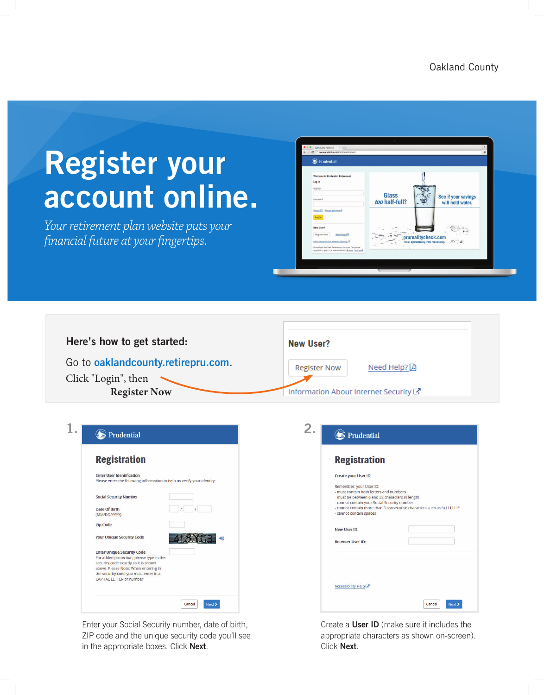Oakland County

## **Register your** account online.

Your retirement plan website puts your financial future at your fingertips.



| Here's how to get started:         | New User?                             |
|------------------------------------|---------------------------------------|
| Go to oaklandcounty.retirepru.com. | Need Help? A<br><b>Register Now</b>   |
| Click "Login", then                |                                       |
| <b>Register Now</b>                | Information About Internet Security C |

| <b>Registration</b>                                                                                                                                                                                                                       |  |
|-------------------------------------------------------------------------------------------------------------------------------------------------------------------------------------------------------------------------------------------|--|
| <b>Enter User Identification</b><br>Please enter the following information to help us verify your identity:                                                                                                                               |  |
| <b>Social Security Number</b>                                                                                                                                                                                                             |  |
| Date Of Birth<br>(MM/DD/YYYY)                                                                                                                                                                                                             |  |
| <b>Zip Code</b>                                                                                                                                                                                                                           |  |
| <b>Your Unique Security Code</b>                                                                                                                                                                                                          |  |
| <b>Enter Unique Security Code</b><br>For added protection, please type in the<br>security code exactly as it is shown<br>above. Please Note: When entering in<br>the security code you must enter in a<br><b>CAPITAL LETTER or number</b> |  |

Enter your Social Security number, date of birth, ZIP code and the unique security code you'll see in the appropriate boxes. Click Next.

| <b>Registration</b>                                                                                                                                                                                                                                                       |
|---------------------------------------------------------------------------------------------------------------------------------------------------------------------------------------------------------------------------------------------------------------------------|
| <b>Create your User ID</b>                                                                                                                                                                                                                                                |
| Remember, your User ID:<br>- must contain both letters and numbers<br>- must be between 6 and 32 characters in length<br>- cannot contain your Social Security number<br>- cannot contain more than 3 consecutive characters such as "a111111"<br>- cannot contain spaces |
| New User ID:                                                                                                                                                                                                                                                              |
| <b>Re-enter User ID:</b>                                                                                                                                                                                                                                                  |
|                                                                                                                                                                                                                                                                           |

Create a User ID (make sure it includes the appropriate characters as shown on-screen). Click Next.